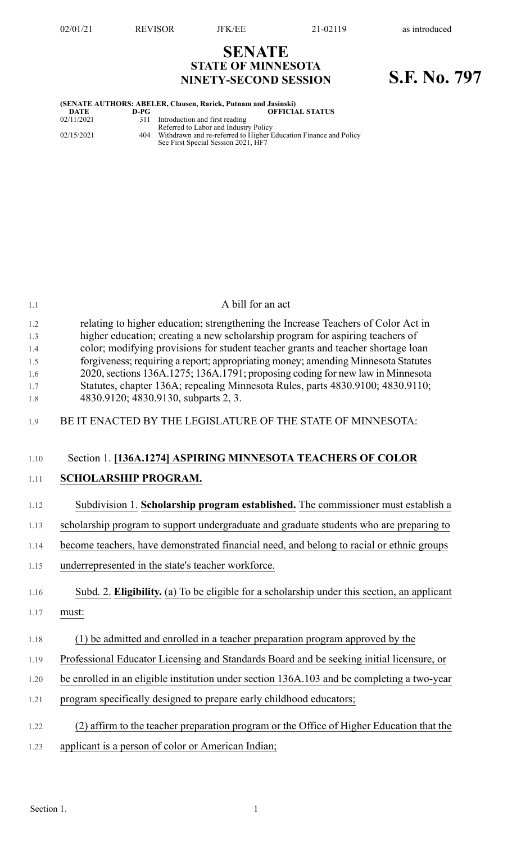**SENATE STATE OF MINNESOTA**

# **NINETY-SECOND SESSION S.F. No. 797**

|             |        | (SENATE AUTHORS: ABELER, Clausen, Rarick, Putnam and Jasinski)   |
|-------------|--------|------------------------------------------------------------------|
| <b>DATE</b> | $D-PG$ | <b>OFFICIAL STATUS</b>                                           |
| 02/11/2021  | 311    | Introduction and first reading                                   |
|             |        | Referred to Labor and Industry Policy                            |
| 02/15/2021  | 404    | Withdrawn and re-referred to Higher Education Finance and Policy |
|             |        | See First Special Session 2021, HF7                              |
|             |        |                                                                  |
|             |        |                                                                  |
|             |        |                                                                  |
|             |        |                                                                  |
|             |        |                                                                  |
|             |        |                                                                  |
|             |        |                                                                  |
|             |        |                                                                  |
|             |        |                                                                  |
|             |        |                                                                  |
|             |        |                                                                  |
|             |        |                                                                  |

| 1.1                                           | A bill for an act                                                                                                                                                                                                                                                                                                                                                                                                                                                                                                                                       |
|-----------------------------------------------|---------------------------------------------------------------------------------------------------------------------------------------------------------------------------------------------------------------------------------------------------------------------------------------------------------------------------------------------------------------------------------------------------------------------------------------------------------------------------------------------------------------------------------------------------------|
| 1.2<br>1.3<br>1.4<br>1.5<br>1.6<br>1.7<br>1.8 | relating to higher education; strengthening the Increase Teachers of Color Act in<br>higher education; creating a new scholarship program for aspiring teachers of<br>color; modifying provisions for student teacher grants and teacher shortage loan<br>forgiveness; requiring a report; appropriating money; amending Minnesota Statutes<br>2020, sections 136A.1275; 136A.1791; proposing coding for new law in Minnesota<br>Statutes, chapter 136A; repealing Minnesota Rules, parts 4830.9100; 4830.9110;<br>4830.9120; 4830.9130, subparts 2, 3. |
| 1.9                                           | BE IT ENACTED BY THE LEGISLATURE OF THE STATE OF MINNESOTA:                                                                                                                                                                                                                                                                                                                                                                                                                                                                                             |
| 1.10                                          | Section 1. [136A.1274] ASPIRING MINNESOTA TEACHERS OF COLOR                                                                                                                                                                                                                                                                                                                                                                                                                                                                                             |
| 1.11                                          | <b>SCHOLARSHIP PROGRAM.</b>                                                                                                                                                                                                                                                                                                                                                                                                                                                                                                                             |
| 1.12                                          | Subdivision 1. Scholarship program established. The commissioner must establish a                                                                                                                                                                                                                                                                                                                                                                                                                                                                       |
| 1.13                                          | scholarship program to support undergraduate and graduate students who are preparing to                                                                                                                                                                                                                                                                                                                                                                                                                                                                 |
| 1.14                                          | become teachers, have demonstrated financial need, and belong to racial or ethnic groups                                                                                                                                                                                                                                                                                                                                                                                                                                                                |
| 1.15                                          | underrepresented in the state's teacher workforce.                                                                                                                                                                                                                                                                                                                                                                                                                                                                                                      |
| 1.16                                          | Subd. 2. Eligibility. (a) To be eligible for a scholarship under this section, an applicant                                                                                                                                                                                                                                                                                                                                                                                                                                                             |
| 1.17                                          | must:                                                                                                                                                                                                                                                                                                                                                                                                                                                                                                                                                   |
| 1.18                                          | (1) be admitted and enrolled in a teacher preparation program approved by the                                                                                                                                                                                                                                                                                                                                                                                                                                                                           |
| 1.19                                          | Professional Educator Licensing and Standards Board and be seeking initial licensure, or                                                                                                                                                                                                                                                                                                                                                                                                                                                                |
| 1.20                                          | be enrolled in an eligible institution under section 136A.103 and be completing a two-year                                                                                                                                                                                                                                                                                                                                                                                                                                                              |
| 1.21                                          | program specifically designed to prepare early childhood educators;                                                                                                                                                                                                                                                                                                                                                                                                                                                                                     |
| 1.22                                          | (2) affirm to the teacher preparation program or the Office of Higher Education that the                                                                                                                                                                                                                                                                                                                                                                                                                                                                |
| 1.23                                          | applicant is a person of color or American Indian;                                                                                                                                                                                                                                                                                                                                                                                                                                                                                                      |
|                                               |                                                                                                                                                                                                                                                                                                                                                                                                                                                                                                                                                         |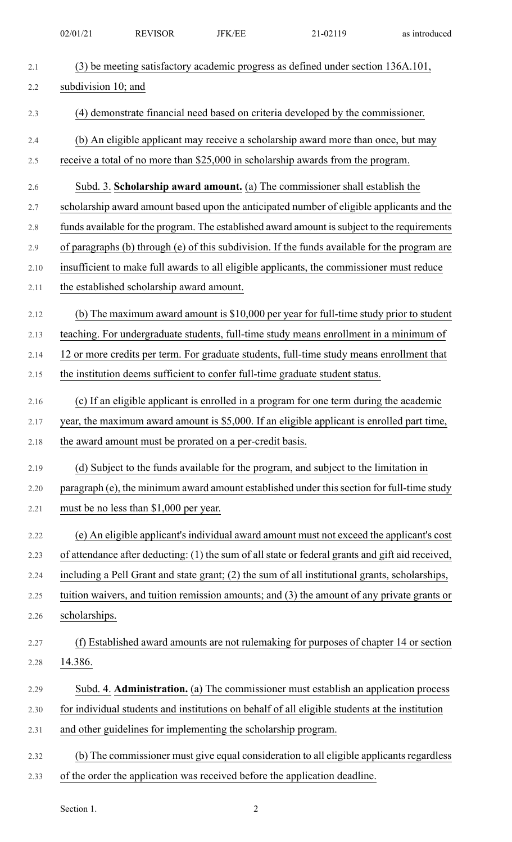|            | 02/01/21            | <b>REVISOR</b>                                                 | <b>JFK/EE</b> | 21-02119                                                                                                                                                              | as introduced |
|------------|---------------------|----------------------------------------------------------------|---------------|-----------------------------------------------------------------------------------------------------------------------------------------------------------------------|---------------|
| 2.1        |                     |                                                                |               | (3) be meeting satisfactory academic progress as defined under section 136A.101,                                                                                      |               |
| 2.2        | subdivision 10; and |                                                                |               |                                                                                                                                                                       |               |
| 2.3        |                     |                                                                |               | (4) demonstrate financial need based on criteria developed by the commissioner.                                                                                       |               |
|            |                     |                                                                |               |                                                                                                                                                                       |               |
| 2.4<br>2.5 |                     |                                                                |               | (b) An eligible applicant may receive a scholarship award more than once, but may<br>receive a total of no more than \$25,000 in scholarship awards from the program. |               |
|            |                     |                                                                |               |                                                                                                                                                                       |               |
| 2.6        |                     |                                                                |               | Subd. 3. Scholarship award amount. (a) The commissioner shall establish the                                                                                           |               |
| 2.7        |                     |                                                                |               | scholarship award amount based upon the anticipated number of eligible applicants and the                                                                             |               |
| 2.8        |                     |                                                                |               | funds available for the program. The established award amount is subject to the requirements                                                                          |               |
| 2.9        |                     |                                                                |               | of paragraphs (b) through (e) of this subdivision. If the funds available for the program are                                                                         |               |
| 2.10       |                     |                                                                |               | insufficient to make full awards to all eligible applicants, the commissioner must reduce                                                                             |               |
| 2.11       |                     | the established scholarship award amount.                      |               |                                                                                                                                                                       |               |
| 2.12       |                     |                                                                |               | (b) The maximum award amount is $$10,000$ per year for full-time study prior to student                                                                               |               |
| 2.13       |                     |                                                                |               | teaching. For undergraduate students, full-time study means enrollment in a minimum of                                                                                |               |
| 2.14       |                     |                                                                |               | 12 or more credits per term. For graduate students, full-time study means enrollment that                                                                             |               |
| 2.15       |                     |                                                                |               | the institution deems sufficient to confer full-time graduate student status.                                                                                         |               |
| 2.16       |                     |                                                                |               | (c) If an eligible applicant is enrolled in a program for one term during the academic                                                                                |               |
| 2.17       |                     |                                                                |               | year, the maximum award amount is \$5,000. If an eligible applicant is enrolled part time,                                                                            |               |
| 2.18       |                     | the award amount must be prorated on a per-credit basis.       |               |                                                                                                                                                                       |               |
| 2.19       |                     |                                                                |               | (d) Subject to the funds available for the program, and subject to the limitation in                                                                                  |               |
| 2.20       |                     |                                                                |               | paragraph (e), the minimum award amount established under this section for full-time study                                                                            |               |
| 2.21       |                     | must be no less than \$1,000 per year.                         |               |                                                                                                                                                                       |               |
| 2.22       |                     |                                                                |               | (e) An eligible applicant's individual award amount must not exceed the applicant's cost                                                                              |               |
| 2.23       |                     |                                                                |               | of attendance after deducting: (1) the sum of all state or federal grants and gift aid received,                                                                      |               |
| 2.24       |                     |                                                                |               | including a Pell Grant and state grant; (2) the sum of all institutional grants, scholarships,                                                                        |               |
| 2.25       |                     |                                                                |               | tuition waivers, and tuition remission amounts; and (3) the amount of any private grants or                                                                           |               |
| 2.26       | scholarships.       |                                                                |               |                                                                                                                                                                       |               |
| 2.27       |                     |                                                                |               | (f) Established award amounts are not rulemaking for purposes of chapter 14 or section                                                                                |               |
| 2.28       | 14.386.             |                                                                |               |                                                                                                                                                                       |               |
| 2.29       |                     |                                                                |               | Subd. 4. <b>Administration.</b> (a) The commissioner must establish an application process                                                                            |               |
| 2.30       |                     |                                                                |               | for individual students and institutions on behalf of all eligible students at the institution                                                                        |               |
| 2.31       |                     | and other guidelines for implementing the scholarship program. |               |                                                                                                                                                                       |               |
| 2.32       |                     |                                                                |               | (b) The commissioner must give equal consideration to all eligible applicants regardless                                                                              |               |
| 2.33       |                     |                                                                |               | of the order the application was received before the application deadline.                                                                                            |               |

Section 1. 2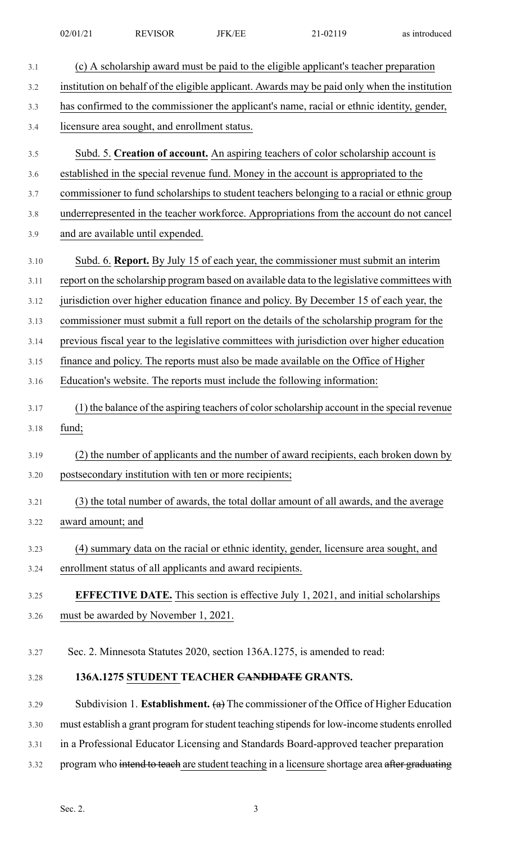| 02/01/21 | <b>REVISOR</b> | <b>JFK/EE</b> | <sup>2</sup> 1-02119<br>$1 - 0211$ | as introduced |
|----------|----------------|---------------|------------------------------------|---------------|
|          |                |               |                                    |               |

| 3.1  | (c) A scholarship award must be paid to the eligible applicant's teacher preparation           |
|------|------------------------------------------------------------------------------------------------|
| 3.2  | institution on behalf of the eligible applicant. Awards may be paid only when the institution  |
| 3.3  | has confirmed to the commissioner the applicant's name, racial or ethnic identity, gender,     |
| 3.4  | licensure area sought, and enrollment status.                                                  |
| 3.5  | Subd. 5. Creation of account. An aspiring teachers of color scholarship account is             |
| 3.6  | established in the special revenue fund. Money in the account is appropriated to the           |
| 3.7  | commissioner to fund scholarships to student teachers belonging to a racial or ethnic group    |
| 3.8  | underrepresented in the teacher workforce. Appropriations from the account do not cancel       |
| 3.9  | and are available until expended.                                                              |
| 3.10 | Subd. 6. Report. By July 15 of each year, the commissioner must submit an interim              |
| 3.11 | report on the scholarship program based on available data to the legislative committees with   |
| 3.12 | jurisdiction over higher education finance and policy. By December 15 of each year, the        |
| 3.13 | commissioner must submit a full report on the details of the scholarship program for the       |
| 3.14 | previous fiscal year to the legislative committees with jurisdiction over higher education     |
| 3.15 | finance and policy. The reports must also be made available on the Office of Higher            |
| 3.16 | Education's website. The reports must include the following information:                       |
| 3.17 | (1) the balance of the aspiring teachers of color scholarship account in the special revenue   |
| 3.18 | fund;                                                                                          |
| 3.19 | (2) the number of applicants and the number of award recipients, each broken down by           |
| 3.20 | postsecondary institution with ten or more recipients;                                         |
| 3.21 | (3) the total number of awards, the total dollar amount of all awards, and the average         |
| 3.22 | award amount; and                                                                              |
| 3.23 | (4) summary data on the racial or ethnic identity, gender, licensure area sought, and          |
| 3.24 | enrollment status of all applicants and award recipients.                                      |
| 3.25 | <b>EFFECTIVE DATE.</b> This section is effective July 1, 2021, and initial scholarships        |
| 3.26 | must be awarded by November 1, 2021.                                                           |
|      |                                                                                                |
| 3.27 | Sec. 2. Minnesota Statutes 2020, section 136A.1275, is amended to read:                        |
| 3.28 | 136A.1275 STUDENT TEACHER CANDIDATE GRANTS.                                                    |
| 3.29 | Subdivision 1. Establishment. $(a)$ The commissioner of the Office of Higher Education         |
| 3.30 | must establish a grant program for student teaching stipends for low-income students enrolled  |
| 3.31 | in a Professional Educator Licensing and Standards Board-approved teacher preparation          |
| 3.32 | program who intend to teach are student teaching in a licensure shortage area after graduating |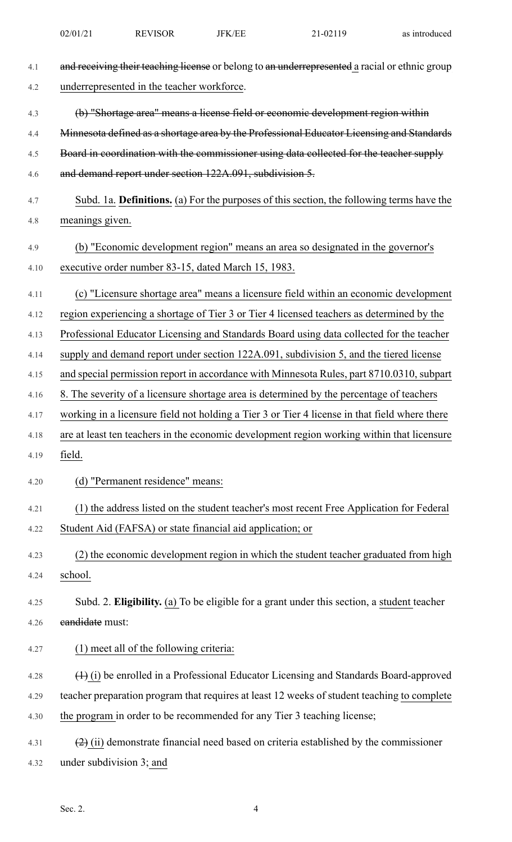| 4.1  | and receiving their teaching license or belong to an underrepresented a racial or ethnic group |
|------|------------------------------------------------------------------------------------------------|
| 4.2  | underrepresented in the teacher workforce.                                                     |
| 4.3  | (b) "Shortage area" means a license field or economic development region within                |
| 4.4  | Minnesota defined as a shortage area by the Professional Educator Licensing and Standards      |
| 4.5  | Board in coordination with the commissioner using data collected for the teacher supply        |
| 4.6  | and demand report under section 122A.091, subdivision 5.                                       |
| 4.7  | Subd. 1a. Definitions. (a) For the purposes of this section, the following terms have the      |
| 4.8  | meanings given.                                                                                |
| 4.9  | (b) "Economic development region" means an area so designated in the governor's                |
| 4.10 | executive order number 83-15, dated March 15, 1983.                                            |
| 4.11 | (c) "Licensure shortage area" means a licensure field within an economic development           |
| 4.12 | region experiencing a shortage of Tier 3 or Tier 4 licensed teachers as determined by the      |
|      |                                                                                                |
| 4.13 | Professional Educator Licensing and Standards Board using data collected for the teacher       |
| 4.14 | supply and demand report under section 122A.091, subdivision 5, and the tiered license         |
| 4.15 | and special permission report in accordance with Minnesota Rules, part 8710.0310, subpart      |
| 4.16 | 8. The severity of a licensure shortage area is determined by the percentage of teachers       |
| 4.17 | working in a licensure field not holding a Tier 3 or Tier 4 license in that field where there  |
| 4.18 | are at least ten teachers in the economic development region working within that licensure     |
| 4.19 | field.                                                                                         |
| 4.20 | (d) "Permanent residence" means:                                                               |
| 4.21 | (1) the address listed on the student teacher's most recent Free Application for Federal       |
| 4.22 | Student Aid (FAFSA) or state financial aid application; or                                     |
| 4.23 | (2) the economic development region in which the student teacher graduated from high           |
| 4.24 | school.                                                                                        |
| 4.25 | Subd. 2. Eligibility. (a) To be eligible for a grant under this section, a student teacher     |
| 4.26 | eandidate must:                                                                                |
| 4.27 | (1) meet all of the following criteria:                                                        |
| 4.28 | (1) (i) be enrolled in a Professional Educator Licensing and Standards Board-approved          |
| 4.29 | teacher preparation program that requires at least 12 weeks of student teaching to complete    |
| 4.30 | the program in order to be recommended for any Tier 3 teaching license;                        |
| 4.31 | $(2)$ (ii) demonstrate financial need based on criteria established by the commissioner        |
| 4.32 | under subdivision 3; and                                                                       |

02/01/21 REVISOR JFK/EE 21-02119 as introduced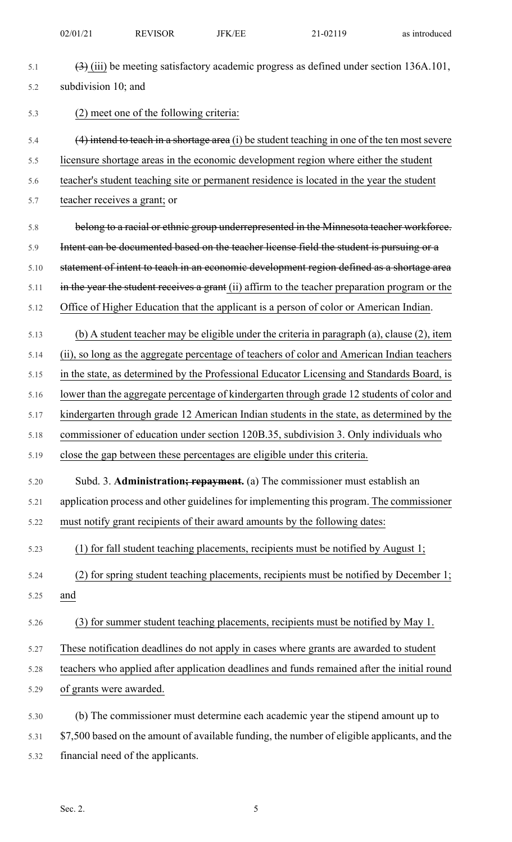| 5.1  | $\left(\frac{3}{2}\right)$ (iii) be meeting satisfactory academic progress as defined under section 136A.101, |
|------|---------------------------------------------------------------------------------------------------------------|
| 5.2  | subdivision 10; and                                                                                           |
| 5.3  | (2) meet one of the following criteria:                                                                       |
| 5.4  | $(4)$ intend to teach in a shortage area (i) be student teaching in one of the ten most severe                |
| 5.5  | licensure shortage areas in the economic development region where either the student                          |
| 5.6  | teacher's student teaching site or permanent residence is located in the year the student                     |
| 5.7  | teacher receives a grant; or                                                                                  |
| 5.8  | belong to a racial or ethnic group underrepresented in the Minnesota teacher workforce.                       |
| 5.9  | Intent can be documented based on the teacher license field the student is pursuing or a                      |
| 5.10 | statement of intent to teach in an economic development region defined as a shortage area                     |
| 5.11 | in the year the student receives a grant (ii) affirm to the teacher preparation program or the                |
| 5.12 | Office of Higher Education that the applicant is a person of color or American Indian.                        |
| 5.13 | (b) A student teacher may be eligible under the criteria in paragraph (a), clause (2), item                   |
| 5.14 | (ii), so long as the aggregate percentage of teachers of color and American Indian teachers                   |
| 5.15 | in the state, as determined by the Professional Educator Licensing and Standards Board, is                    |
| 5.16 | lower than the aggregate percentage of kindergarten through grade 12 students of color and                    |
| 5.17 | kindergarten through grade 12 American Indian students in the state, as determined by the                     |
| 5.18 | commissioner of education under section 120B.35, subdivision 3. Only individuals who                          |
| 5.19 | close the gap between these percentages are eligible under this criteria.                                     |
| 5.20 | Subd. 3. Administration; repayment. (a) The commissioner must establish an                                    |
| 5.21 | application process and other guidelines for implementing this program. The commissioner                      |
| 5.22 | must notify grant recipients of their award amounts by the following dates:                                   |
| 5.23 | (1) for fall student teaching placements, recipients must be notified by August 1;                            |
| 5.24 | (2) for spring student teaching placements, recipients must be notified by December 1;                        |
| 5.25 | and                                                                                                           |
| 5.26 | (3) for summer student teaching placements, recipients must be notified by May 1.                             |
| 5.27 | These notification deadlines do not apply in cases where grants are awarded to student                        |
| 5.28 | teachers who applied after application deadlines and funds remained after the initial round                   |
| 5.29 | of grants were awarded.                                                                                       |
| 5.30 | (b) The commissioner must determine each academic year the stipend amount up to                               |
| 5.31 | \$7,500 based on the amount of available funding, the number of eligible applicants, and the                  |

5.32 financial need of the applicants.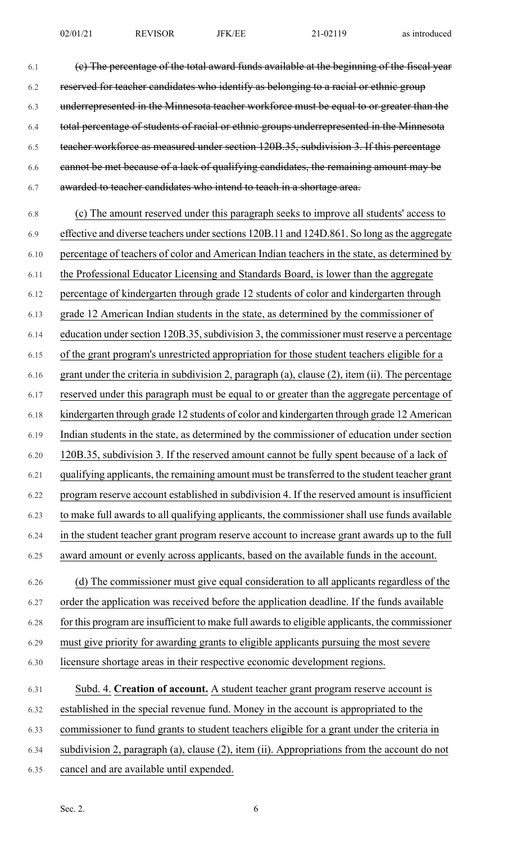6.1 (c) The percentage of the total award funds available at the beginning of the fiscal year 6.2 reserved for teacher candidates who identify as belonging to a racial or ethnic group 6.3 underrepresented in the Minnesota teacher workforce must be equal to or greater than the 6.4 total percentage of students of racial or ethnic groups underrepresented in the Minnesota 6.5 teacher workforce as measured under section 120B.35, subdivision 3. If this percentage 6.6 cannot be met because of a lack of qualifying candidates, the remaining amount may be 6.7 awarded to teacher candidates who intend to teach in a shortage area.

6.8 (c) The amount reserved under this paragraph seeks to improve all students' access to 6.9 effective and diverse teachers under sections 120B.11 and 124D.861. So long as the aggregate 6.10 percentage of teachers of color and American Indian teachers in the state, as determined by 6.11 the Professional Educator Licensing and Standards Board, is lower than the aggregate 6.12 percentage of kindergarten through grade 12 students of color and kindergarten through 6.13 grade 12 American Indian students in the state, as determined by the commissioner of 6.14 education under section 120B.35, subdivision 3, the commissioner must reserve a percentage 6.15 of the grant program's unrestricted appropriation for those student teachers eligible for a 6.16 grant under the criteria in subdivision 2, paragraph (a), clause (2), item (ii). The percentage 6.17 reserved under this paragraph must be equal to or greater than the aggregate percentage of 6.18 kindergarten through grade 12 students of color and kindergarten through grade 12 American 6.19 Indian students in the state, as determined by the commissioner of education under section 6.20 120B.35, subdivision 3. If the reserved amount cannot be fully spent because of a lack of 6.21 qualifying applicants, the remaining amount must be transferred to the student teacher grant 6.22 program reserve account established in subdivision 4. If the reserved amount is insufficient 6.23 to make full awards to all qualifying applicants, the commissioner shall use funds available 6.24 in the student teacher grant program reserve account to increase grant awards up to the full 6.25 award amount or evenly across applicants, based on the available funds in the account. 6.26 (d) The commissioner must give equal consideration to all applicants regardless of the 6.27 order the application was received before the application deadline. If the funds available 6.28 for this program are insufficient to make full awards to eligible applicants, the commissioner 6.29 must give priority for awarding grants to eligible applicants pursuing the most severe

6.30 licensure shortage areas in their respective economic development regions.

## 6.31 Subd. 4. **Creation of account.** A student teacher grant program reserve account is 6.32 established in the special revenue fund. Money in the account is appropriated to the 6.33 commissioner to fund grants to student teachers eligible for a grant under the criteria in 6.34 subdivision 2, paragraph (a), clause (2), item (ii). Appropriations from the account do not 6.35 cancel and are available until expended.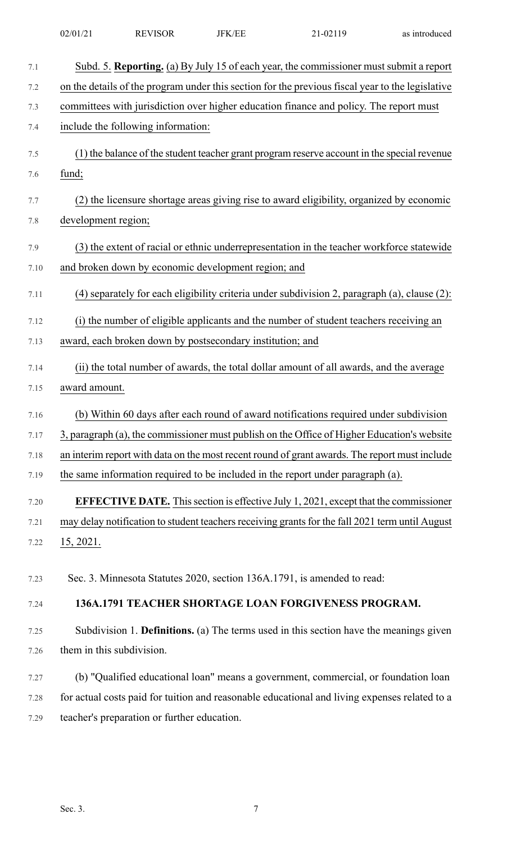| 7.1  | Subd. 5. Reporting. (a) By July 15 of each year, the commissioner must submit a report           |
|------|--------------------------------------------------------------------------------------------------|
| 7.2  | on the details of the program under this section for the previous fiscal year to the legislative |
| 7.3  | committees with jurisdiction over higher education finance and policy. The report must           |
| 7.4  | include the following information:                                                               |
| 7.5  | (1) the balance of the student teacher grant program reserve account in the special revenue      |
| 7.6  | fund;                                                                                            |
| 7.7  | (2) the licensure shortage areas giving rise to award eligibility, organized by economic         |
| 7.8  | development region;                                                                              |
| 7.9  | (3) the extent of racial or ethnic underrepresentation in the teacher workforce statewide        |
| 7.10 | and broken down by economic development region; and                                              |
| 7.11 | (4) separately for each eligibility criteria under subdivision 2, paragraph (a), clause (2):     |
| 7.12 | (i) the number of eligible applicants and the number of student teachers receiving an            |
| 7.13 | award, each broken down by postsecondary institution; and                                        |
| 7.14 | (ii) the total number of awards, the total dollar amount of all awards, and the average          |
| 7.15 | award amount.                                                                                    |
| 7.16 | (b) Within 60 days after each round of award notifications required under subdivision            |
| 7.17 | 3, paragraph (a), the commissioner must publish on the Office of Higher Education's website      |
| 7.18 | an interim report with data on the most recent round of grant awards. The report must include    |
| 7.19 | the same information required to be included in the report under paragraph (a).                  |
| 7.20 | <b>EFFECTIVE DATE.</b> This section is effective July 1, 2021, except that the commissioner      |
| 7.21 | may delay notification to student teachers receiving grants for the fall 2021 term until August  |
| 7.22 | 15, 2021.                                                                                        |
| 7.23 | Sec. 3. Minnesota Statutes 2020, section 136A.1791, is amended to read:                          |
| 7.24 | 136A.1791 TEACHER SHORTAGE LOAN FORGIVENESS PROGRAM.                                             |
| 7.25 | Subdivision 1. Definitions. (a) The terms used in this section have the meanings given           |
| 7.26 | them in this subdivision.                                                                        |
| 7.27 | (b) "Qualified educational loan" means a government, commercial, or foundation loan              |
| 7.28 | for actual costs paid for tuition and reasonable educational and living expenses related to a    |
| 7.29 | teacher's preparation or further education.                                                      |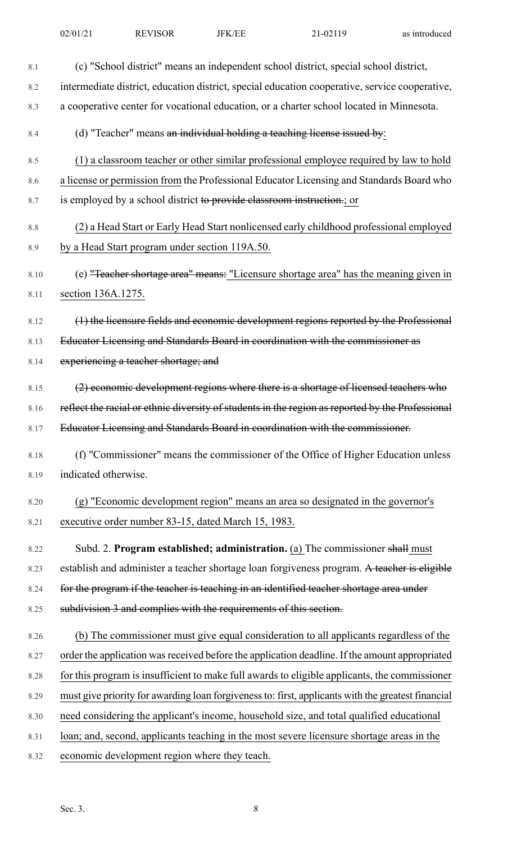| 8.1  | (c) "School district" means an independent school district, special school district,               |
|------|----------------------------------------------------------------------------------------------------|
|      |                                                                                                    |
| 8.2  | intermediate district, education district, special education cooperative, service cooperative,     |
| 8.3  | a cooperative center for vocational education, or a charter school located in Minnesota.           |
| 8.4  | (d) "Teacher" means an individual holding a teaching license issued by:                            |
| 8.5  | (1) a classroom teacher or other similar professional employee required by law to hold             |
| 8.6  | a license or permission from the Professional Educator Licensing and Standards Board who           |
| 8.7  | is employed by a school district to provide classroom instruction.; or                             |
| 8.8  | (2) a Head Start or Early Head Start nonlicensed early childhood professional employed             |
| 8.9  | by a Head Start program under section 119A.50.                                                     |
| 8.10 | (e) "Teacher shortage area" means: "Licensure shortage area" has the meaning given in              |
| 8.11 | section 136A.1275.                                                                                 |
| 8.12 | (1) the licensure fields and economic development regions reported by the Professional             |
| 8.13 | Educator Licensing and Standards Board in coordination with the commissioner as                    |
| 8.14 | experiencing a teacher shortage; and                                                               |
| 8.15 | (2) economic development regions where there is a shortage of licensed teachers who                |
| 8.16 | reflect the racial or ethnic diversity of students in the region as reported by the Professional   |
| 8.17 | Educator Licensing and Standards Board in coordination with the commissioner.                      |
| 8.18 | (f) "Commissioner" means the commissioner of the Office of Higher Education unless                 |
| 8.19 | indicated otherwise.                                                                               |
| 8.20 | (g) "Economic development region" means an area so designated in the governor's                    |
| 8.21 | executive order number 83-15, dated March 15, 1983.                                                |
| 8.22 | Subd. 2. Program established; administration. (a) The commissioner shall must                      |
| 8.23 | establish and administer a teacher shortage loan forgiveness program. A teacher is eligible        |
| 8.24 | for the program if the teacher is teaching in an identified teacher shortage area under            |
| 8.25 | subdivision 3 and complies with the requirements of this section.                                  |
| 8.26 | (b) The commissioner must give equal consideration to all applicants regardless of the             |
| 8.27 | order the application was received before the application deadline. If the amount appropriated     |
| 8.28 | for this program is insufficient to make full awards to eligible applicants, the commissioner      |
| 8.29 | must give priority for awarding loan forgiveness to: first, applicants with the greatest financial |
| 8.30 | need considering the applicant's income, household size, and total qualified educational           |
| 8.31 | loan; and, second, applicants teaching in the most severe licensure shortage areas in the          |
| 8.32 | economic development region where they teach.                                                      |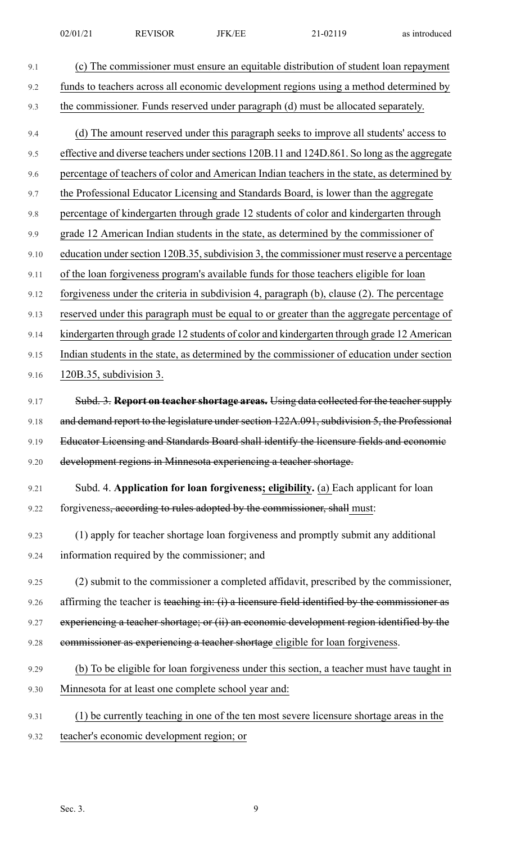| 9.1  | (c) The commissioner must ensure an equitable distribution of student loan repayment          |
|------|-----------------------------------------------------------------------------------------------|
| 9.2  | funds to teachers across all economic development regions using a method determined by        |
| 9.3  | the commissioner. Funds reserved under paragraph (d) must be allocated separately.            |
| 9.4  | (d) The amount reserved under this paragraph seeks to improve all students' access to         |
| 9.5  | effective and diverse teachers under sections 120B.11 and 124D.861. So long as the aggregate  |
| 9.6  | percentage of teachers of color and American Indian teachers in the state, as determined by   |
| 9.7  | the Professional Educator Licensing and Standards Board, is lower than the aggregate          |
| 9.8  | percentage of kindergarten through grade 12 students of color and kindergarten through        |
| 9.9  | grade 12 American Indian students in the state, as determined by the commissioner of          |
| 9.10 | education under section 120B.35, subdivision 3, the commissioner must reserve a percentage    |
| 9.11 | of the loan forgiveness program's available funds for those teachers eligible for loan        |
| 9.12 | forgiveness under the criteria in subdivision 4, paragraph (b), clause (2). The percentage    |
| 9.13 | reserved under this paragraph must be equal to or greater than the aggregate percentage of    |
| 9.14 | kindergarten through grade 12 students of color and kindergarten through grade 12 American    |
| 9.15 | Indian students in the state, as determined by the commissioner of education under section    |
| 9.16 | 120B.35, subdivision 3.                                                                       |
| 9.17 | Subd. 3. Report on teacher shortage areas. Using data collected for the teacher supply        |
| 9.18 | and demand report to the legislature under section 122A.091, subdivision 5, the Professional  |
| 9.19 | Educator Licensing and Standards Board shall identify the licensure fields and economic       |
| 9.20 | development regions in Minnesota experiencing a teacher shortage.                             |
| 9.21 | Subd. 4. Application for loan forgiveness; eligibility. (a) Each applicant for loan           |
| 9.22 | forgiveness, according to rules adopted by the commissioner, shall must:                      |
| 9.23 | (1) apply for teacher shortage loan forgiveness and promptly submit any additional            |
| 9.24 | information required by the commissioner; and                                                 |
| 9.25 | (2) submit to the commissioner a completed affidavit, prescribed by the commissioner,         |
| 9.26 | affirming the teacher is teaching in: (i) a licensure field identified by the commissioner as |
| 9.27 | experiencing a teacher shortage; or (ii) an economic development region identified by the     |
| 9.28 | commissioner as experiencing a teacher shortage eligible for loan forgiveness.                |
| 9.29 | (b) To be eligible for loan forgiveness under this section, a teacher must have taught in     |
| 9.30 | Minnesota for at least one complete school year and:                                          |
| 9.31 | (1) be currently teaching in one of the ten most severe licensure shortage areas in the       |
| 9.32 | teacher's economic development region; or                                                     |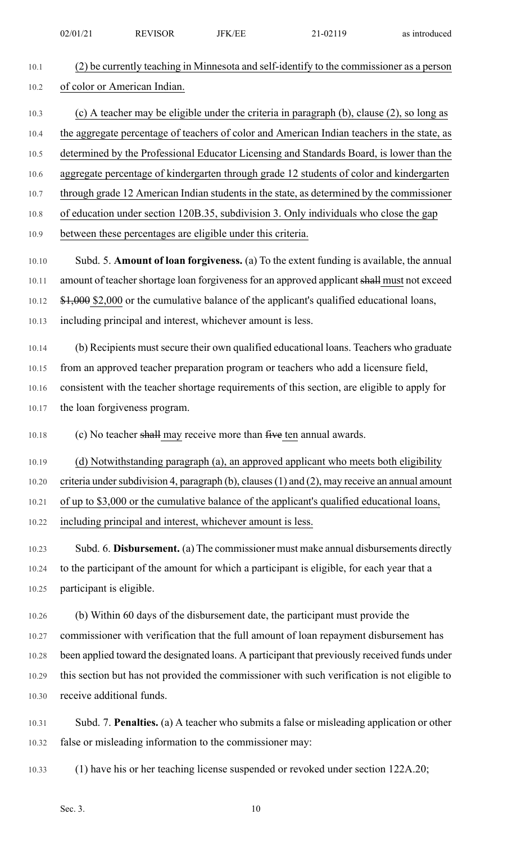| 02/01<br><b>REVISOR</b><br>$\sim$<br>02110<br>$\sim$<br>FК<br>' н<br>as<br>◡▱ | -introduced |
|-------------------------------------------------------------------------------|-------------|
|-------------------------------------------------------------------------------|-------------|

| 10.1  | (2) be currently teaching in Minnesota and self-identify to the commissioner as a person       |
|-------|------------------------------------------------------------------------------------------------|
| 10.2  | of color or American Indian.                                                                   |
| 10.3  | (c) A teacher may be eligible under the criteria in paragraph (b), clause (2), so long as      |
| 10.4  | the aggregate percentage of teachers of color and American Indian teachers in the state, as    |
| 10.5  | determined by the Professional Educator Licensing and Standards Board, is lower than the       |
| 10.6  | aggregate percentage of kindergarten through grade 12 students of color and kindergarten       |
| 10.7  | through grade 12 American Indian students in the state, as determined by the commissioner      |
| 10.8  | of education under section 120B.35, subdivision 3. Only individuals who close the gap          |
| 10.9  | between these percentages are eligible under this criteria.                                    |
| 10.10 | Subd. 5. Amount of loan forgiveness. (a) To the extent funding is available, the annual        |
| 10.11 | amount of teacher shortage loan forgiveness for an approved applicant shall must not exceed    |
| 10.12 | \$1,000 \$2,000 or the cumulative balance of the applicant's qualified educational loans,      |
| 10.13 | including principal and interest, whichever amount is less.                                    |
| 10.14 | (b) Recipients must secure their own qualified educational loans. Teachers who graduate        |
| 10.15 | from an approved teacher preparation program or teachers who add a licensure field,            |
| 10.16 | consistent with the teacher shortage requirements of this section, are eligible to apply for   |
| 10.17 | the loan forgiveness program.                                                                  |
| 10.18 | (c) No teacher shall may receive more than $f$ ive ten annual awards.                          |
| 10.19 | (d) Notwithstanding paragraph (a), an approved applicant who meets both eligibility            |
| 10.20 | criteria under subdivision 4, paragraph (b), clauses (1) and (2), may receive an annual amount |
| 10.21 | of up to \$3,000 or the cumulative balance of the applicant's qualified educational loans,     |
| 10.22 | including principal and interest, whichever amount is less.                                    |
| 10.23 | Subd. 6. Disbursement. (a) The commissioner must make annual disbursements directly            |
| 10.24 | to the participant of the amount for which a participant is eligible, for each year that a     |
| 10.25 | participant is eligible.                                                                       |
| 10.26 | (b) Within 60 days of the disbursement date, the participant must provide the                  |
| 10.27 | commissioner with verification that the full amount of loan repayment disbursement has         |
| 10.28 | been applied toward the designated loans. A participant that previously received funds under   |
| 10.29 | this section but has not provided the commissioner with such verification is not eligible to   |
| 10.30 | receive additional funds.                                                                      |
| 10.31 | Subd. 7. Penalties. (a) A teacher who submits a false or misleading application or other       |
| 10.32 | false or misleading information to the commissioner may:                                       |
| 10.33 | (1) have his or her teaching license suspended or revoked under section 122A.20;               |
|       |                                                                                                |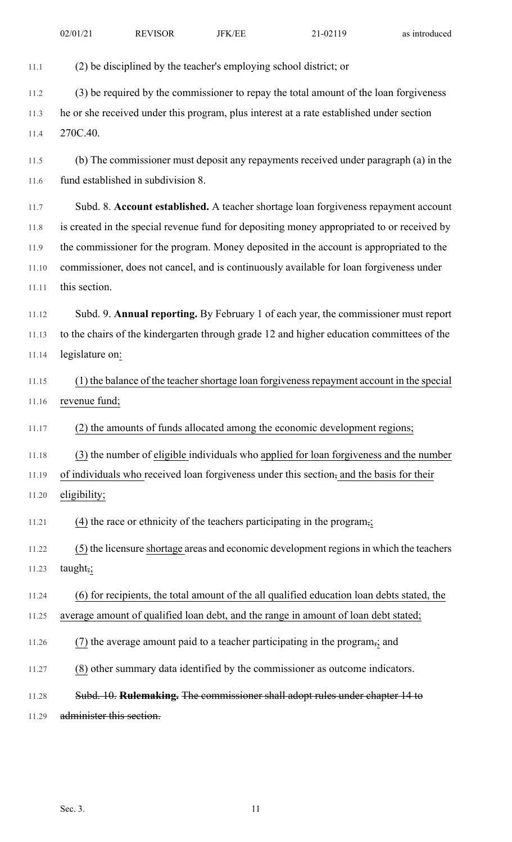11.1 (2) be disciplined by the teacher's employing school district; or

11.2 (3) be required by the commissioner to repay the total amount of the loan forgiveness

11.3 he or she received under this program, plus interest at a rate established under section 11.4 270C.40.

11.5 (b) The commissioner must deposit any repayments received under paragraph (a) in the 11.6 fund established in subdivision 8.

11.7 Subd. 8. **Account established.** A teacher shortage loan forgiveness repayment account 11.8 is created in the special revenue fund for depositing money appropriated to or received by 11.9 the commissioner for the program. Money deposited in the account is appropriated to the 11.10 commissioner, does not cancel, and is continuously available for loan forgiveness under 11.11 this section.

11.12 Subd. 9. **Annual reporting.** By February 1 of each year, the commissioner must report 11.13 to the chairs of the kindergarten through grade 12 and higher education committees of the 11.14 legislature on:

11.15 (1) the balance of the teacher shortage loan forgiveness repayment account in the special 11.16 revenue fund;

11.17 (2) the amounts of funds allocated among the economic development regions;

11.18 (3) the number of eligible individuals who applied for loan forgiveness and the number

11.19 of individuals who received loan forgiveness under this section, and the basis for their

11.20 eligibility;

11.21 (4) the race or ethnicity of the teachers participating in the program,;

11.22 (5) the licensure shortage areas and economic development regionsin which the teachers 11.23 taught,;

11.24 (6) for recipients, the total amount of the all qualified education loan debts stated, the

11.25 average amount of qualified loan debt, and the range in amount of loan debt stated;

11.26 (7) the average amount paid to a teacher participating in the program,; and

11.27 (8) other summary data identified by the commissioner as outcome indicators.

11.28 Subd. 10. **Rulemaking.** The commissioner shall adopt rules under chapter 14 to

11.29 administer this section.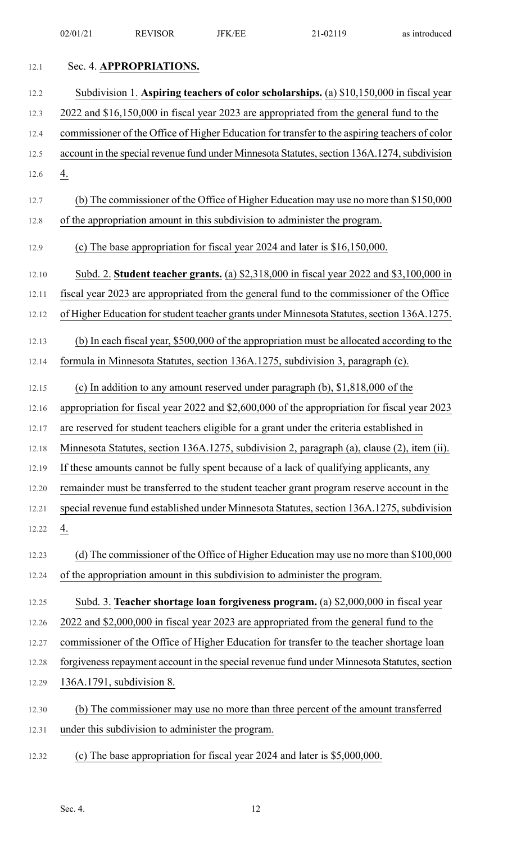|       | 02/01/21                                                                                      | <b>REVISOR</b>          | <b>JFK/EE</b>                                     | 21-02119                                                                                     | as introduced |
|-------|-----------------------------------------------------------------------------------------------|-------------------------|---------------------------------------------------|----------------------------------------------------------------------------------------------|---------------|
| 12.1  |                                                                                               | Sec. 4. APPROPRIATIONS. |                                                   |                                                                                              |               |
| 12.2  |                                                                                               |                         |                                                   | Subdivision 1. Aspiring teachers of color scholarships. (a) \$10,150,000 in fiscal year      |               |
| 12.3  | 2022 and \$16,150,000 in fiscal year 2023 are appropriated from the general fund to the       |                         |                                                   |                                                                                              |               |
| 12.4  | commissioner of the Office of Higher Education for transfer to the aspiring teachers of color |                         |                                                   |                                                                                              |               |
| 12.5  |                                                                                               |                         |                                                   | account in the special revenue fund under Minnesota Statutes, section 136A.1274, subdivision |               |
| 12.6  | $\underline{4}$ .                                                                             |                         |                                                   |                                                                                              |               |
| 12.7  |                                                                                               |                         |                                                   | (b) The commissioner of the Office of Higher Education may use no more than \$150,000        |               |
| 12.8  |                                                                                               |                         |                                                   | of the appropriation amount in this subdivision to administer the program.                   |               |
| 12.9  |                                                                                               |                         |                                                   | (c) The base appropriation for fiscal year 2024 and later is \$16,150,000.                   |               |
| 12.10 |                                                                                               |                         |                                                   | Subd. 2. Student teacher grants. (a) \$2,318,000 in fiscal year 2022 and \$3,100,000 in      |               |
| 12.11 |                                                                                               |                         |                                                   | fiscal year 2023 are appropriated from the general fund to the commissioner of the Office    |               |
| 12.12 |                                                                                               |                         |                                                   | of Higher Education for student teacher grants under Minnesota Statutes, section 136A.1275.  |               |
| 12.13 |                                                                                               |                         |                                                   | (b) In each fiscal year, \$500,000 of the appropriation must be allocated according to the   |               |
| 12.14 |                                                                                               |                         |                                                   | formula in Minnesota Statutes, section 136A.1275, subdivision 3, paragraph (c).              |               |
| 12.15 |                                                                                               |                         |                                                   | (c) In addition to any amount reserved under paragraph $(b)$ , \$1,818,000 of the            |               |
| 12.16 |                                                                                               |                         |                                                   | appropriation for fiscal year 2022 and \$2,600,000 of the appropriation for fiscal year 2023 |               |
| 12.17 |                                                                                               |                         |                                                   | are reserved for student teachers eligible for a grant under the criteria established in     |               |
| 12.18 |                                                                                               |                         |                                                   | Minnesota Statutes, section 136A.1275, subdivision 2, paragraph (a), clause (2), item (ii).  |               |
| 12.19 |                                                                                               |                         |                                                   | If these amounts cannot be fully spent because of a lack of qualifying applicants, any       |               |
| 12.20 |                                                                                               |                         |                                                   | remainder must be transferred to the student teacher grant program reserve account in the    |               |
| 12.21 |                                                                                               |                         |                                                   | special revenue fund established under Minnesota Statutes, section 136A.1275, subdivision    |               |
| 12.22 | $\underline{4}$ .                                                                             |                         |                                                   |                                                                                              |               |
| 12.23 |                                                                                               |                         |                                                   | (d) The commissioner of the Office of Higher Education may use no more than \$100,000        |               |
| 12.24 |                                                                                               |                         |                                                   | of the appropriation amount in this subdivision to administer the program.                   |               |
| 12.25 |                                                                                               |                         |                                                   | Subd. 3. Teacher shortage loan forgiveness program. (a) \$2,000,000 in fiscal year           |               |
| 12.26 |                                                                                               |                         |                                                   | 2022 and \$2,000,000 in fiscal year 2023 are appropriated from the general fund to the       |               |
| 12.27 |                                                                                               |                         |                                                   | commissioner of the Office of Higher Education for transfer to the teacher shortage loan     |               |
| 12.28 |                                                                                               |                         |                                                   | forgiveness repayment account in the special revenue fund under Minnesota Statutes, section  |               |
| 12.29 | 136A.1791, subdivision 8.                                                                     |                         |                                                   |                                                                                              |               |
| 12.30 |                                                                                               |                         |                                                   | (b) The commissioner may use no more than three percent of the amount transferred            |               |
| 12.31 |                                                                                               |                         | under this subdivision to administer the program. |                                                                                              |               |
| 12.32 |                                                                                               |                         |                                                   | (c) The base appropriation for fiscal year 2024 and later is \$5,000,000.                    |               |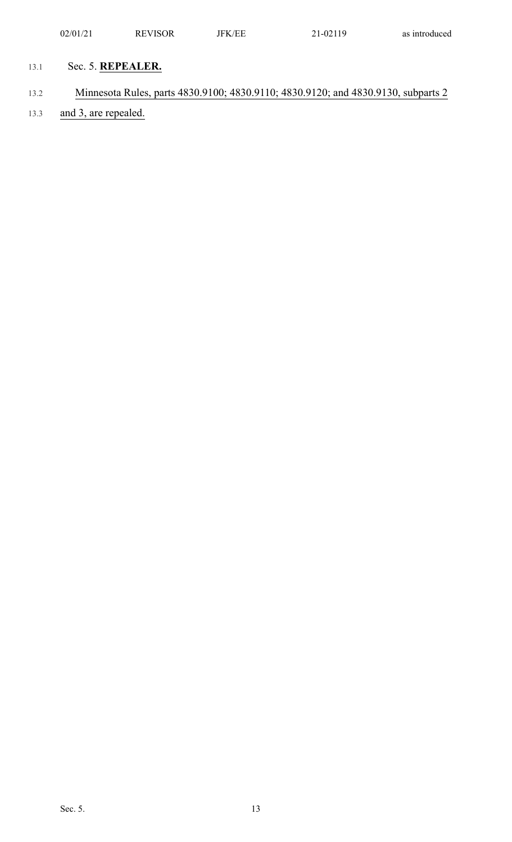- 13.1 Sec. 5. **REPEALER.**
- 13.2 Minnesota Rules, parts 4830.9100; 4830.9110; 4830.9120; and 4830.9130, subparts 2
- 13.3 and 3, are repealed.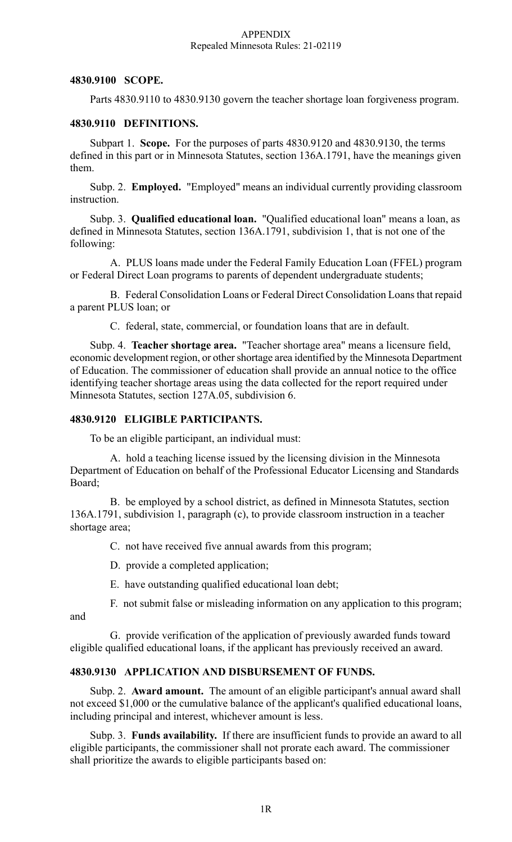#### APPENDIX Repealed Minnesota Rules: 21-02119

#### **4830.9100 SCOPE.**

Parts 4830.9110 to 4830.9130 govern the teacher shortage loan forgiveness program.

#### **4830.9110 DEFINITIONS.**

Subpart 1. **Scope.** For the purposes of parts 4830.9120 and 4830.9130, the terms defined in this part or in Minnesota Statutes, section 136A.1791, have the meanings given them.

Subp. 2. **Employed.** "Employed" means an individual currently providing classroom instruction.

Subp. 3. **Qualified educational loan.** "Qualified educational loan" means a loan, as defined in Minnesota Statutes, section 136A.1791, subdivision 1, that is not one of the following:

A. PLUS loans made under the Federal Family Education Loan (FFEL) program or Federal Direct Loan programs to parents of dependent undergraduate students;

B. Federal Consolidation Loans or Federal Direct Consolidation Loansthat repaid a parent PLUS loan; or

C. federal, state, commercial, or foundation loans that are in default.

Subp. 4. **Teacher shortage area.** "Teacher shortage area" means a licensure field, economic development region, or other shortage area identified by the Minnesota Department of Education. The commissioner of education shall provide an annual notice to the office identifying teacher shortage areas using the data collected for the report required under Minnesota Statutes, section 127A.05, subdivision 6.

### **4830.9120 ELIGIBLE PARTICIPANTS.**

To be an eligible participant, an individual must:

A. hold a teaching license issued by the licensing division in the Minnesota Department of Education on behalf of the Professional Educator Licensing and Standards Board;

B. be employed by a school district, as defined in Minnesota Statutes, section 136A.1791, subdivision 1, paragraph (c), to provide classroom instruction in a teacher shortage area;

C. not have received five annual awards from this program;

D. provide a completed application;

E. have outstanding qualified educational loan debt;

F. not submit false or misleading information on any application to this program;

and

G. provide verification of the application of previously awarded funds toward eligible qualified educational loans, if the applicant has previously received an award.

#### **4830.9130 APPLICATION AND DISBURSEMENT OF FUNDS.**

Subp. 2. **Award amount.** The amount of an eligible participant's annual award shall not exceed \$1,000 or the cumulative balance of the applicant's qualified educational loans, including principal and interest, whichever amount is less.

Subp. 3. **Funds availability.** If there are insufficient funds to provide an award to all eligible participants, the commissioner shall not prorate each award. The commissioner shall prioritize the awards to eligible participants based on: